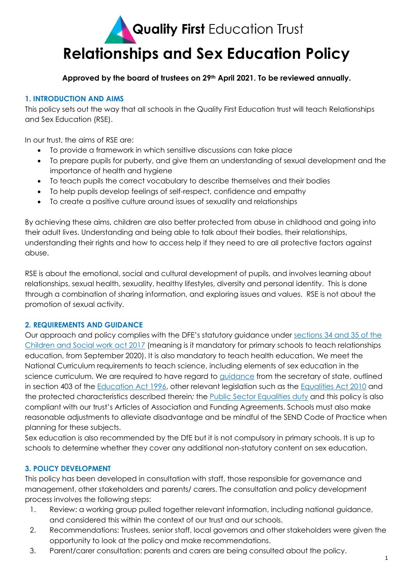# **Quality First Education Trust Relationships and Sex Education Policy**

#### **Approved by the board of trustees on 29th April 2021. To be reviewed annually.**

#### **1. INTRODUCTION AND AIMS**

This policy sets out the way that all schools in the Quality First Education trust will teach Relationships and Sex Education (RSE).

In our trust, the aims of RSE are:

- To provide a framework in which sensitive discussions can take place
- To prepare pupils for puberty, and give them an understanding of sexual development and the importance of health and hygiene
- To teach pupils the correct vocabulary to describe themselves and their bodies
- To help pupils develop feelings of self-respect, confidence and empathy
- To create a positive culture around issues of sexuality and relationships

By achieving these aims, children are also better protected from abuse in childhood and going into their adult lives. Understanding and being able to talk about their bodies, their relationships, understanding their rights and how to access help if they need to are all protective factors against abuse.

RSE is about the emotional, social and cultural development of pupils, and involves learning about relationships, sexual health, sexuality, healthy lifestyles, diversity and personal identity. This is done through a combination of sharing information, and exploring issues and values. RSE is not about the promotion of sexual activity.

#### **2. REQUIREMENTS AND GUIDANCE**

Our approach and policy complies with the DFE's statutory guidance under [sections 34 and 35 of the](http://www.legislation.gov.uk/ukpga/2017/16/section/34/enacted)  [Children and Social work act 2017](http://www.legislation.gov.uk/ukpga/2017/16/section/34/enacted) (meaning is it mandatory for primary schools to teach relationships education, from September 2020). It is also mandatory to teach health education. We meet the National Curriculum requirements to teach science, including elements of sex education in the science curriculum. We are required to have regard to [guidance](https://www.gov.uk/government/consultations/relationships-and-sex-education-and-health-education) from the secretary of state, outlined in section 403 of the [Education Act 1996,](http://www.legislation.gov.uk/ukpga/1996/56/contents) other relevant legislation such as the [Equalities Act 2010](https://www.legislation.gov.uk/ukpga/2010/15/contents) and the protected characteristics described therein*;* the [Public Sector Equalities duty](https://www.equalityhumanrights.com/en/advice-and-guidance/public-sector-equality-duty) and this policy is also compliant with our trust's Articles of Association and Funding Agreements. Schools must also make reasonable adjustments to alleviate disadvantage and be mindful of the SEND Code of Practice when planning for these subjects.

Sex education is also recommended by the DfE but it is not compulsory in primary schools. It is up to schools to determine whether they cover any additional non-statutory content on sex education.

#### **3. POLICY DEVELOPMENT**

This policy has been developed in consultation with staff, those responsible for governance and management, other stakeholders and parents/ carers. The consultation and policy development process involves the following steps:

- 1. Review: a working group pulled together relevant information, including national guidance, and considered this within the context of our trust and our schools.
- 2. Recommendations: Trustees, senior staff, local governors and other stakeholders were given the opportunity to look at the policy and make recommendations.
- 3. Parent/carer consultation: parents and carers are being consulted about the policy.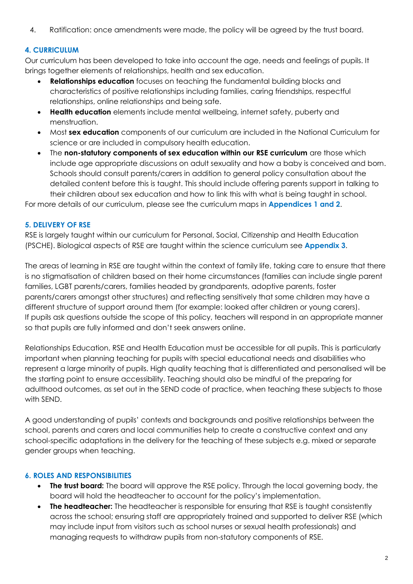4. Ratification: once amendments were made, the policy will be agreed by the trust board.

#### **4. CURRICULUM**

Our curriculum has been developed to take into account the age, needs and feelings of pupils. It brings together elements of relationships, health and sex education.

- **Relationships education** focuses on teaching the fundamental building blocks and characteristics of positive relationships including families, caring friendships, respectful relationships, online relationships and being safe.
- **Health education** elements include mental wellbeing, internet safety, puberty and menstruation.
- Most **sex education** components of our curriculum are included in the National Curriculum for science or are included in compulsory health education.
- **•** The non-statutory components of sex education within our RSE curriculum are those which include age appropriate discussions on adult sexuality and how a baby is conceived and born. Schools should consult parents/carers in addition to general policy consultation about the detailed content before this is taught. This should include offering parents support in talking to their children about sex education and how to link this with what is being taught in school.

For more details of our curriculum, please see the curriculum maps in **Appendices 1 and 2**.

#### **5. DELIVERY OF RSE**

RSE is largely taught within our curriculum for Personal, Social, Citizenship and Health Education (PSCHE). Biological aspects of RSE are taught within the science curriculum see **Appendix 3**.

The areas of learning in RSE are taught within the context of family life, taking care to ensure that there is no stigmatisation of children based on their home circumstances (families can include single parent families, LGBT parents/carers, families headed by grandparents, adoptive parents, foster parents/carers amongst other structures) and reflecting sensitively that some children may have a different structure of support around them (for example: looked after children or young carers). If pupils ask questions outside the scope of this policy, teachers will respond in an appropriate manner so that pupils are fully informed and don't seek answers online.

Relationships Education, RSE and Health Education must be accessible for all pupils. This is particularly important when planning teaching for pupils with special educational needs and disabilities who represent a large minority of pupils. High quality teaching that is differentiated and personalised will be the starting point to ensure accessibility. Teaching should also be mindful of the preparing for adulthood outcomes, as set out in the SEND code of practice, when teaching these subjects to those with SEND.

A good understanding of pupils' contexts and backgrounds and positive relationships between the school, parents and carers and local communities help to create a constructive context and any school-specific adaptations in the delivery for the teaching of these subjects e.g. mixed or separate gender groups when teaching.

#### **6. ROLES AND RESPONSIBILITIES**

- **The trust board:** The board will approve the RSE policy. Through the local governing body, the board will hold the headteacher to account for the policy's implementation.
- **The headteacher:** The headteacher is responsible for ensuring that RSE is taught consistently across the school; ensuring staff are appropriately trained and supported to deliver RSE (which may include input from visitors such as school nurses or sexual health professionals) and managing requests to withdraw pupils from non-statutory components of RSE.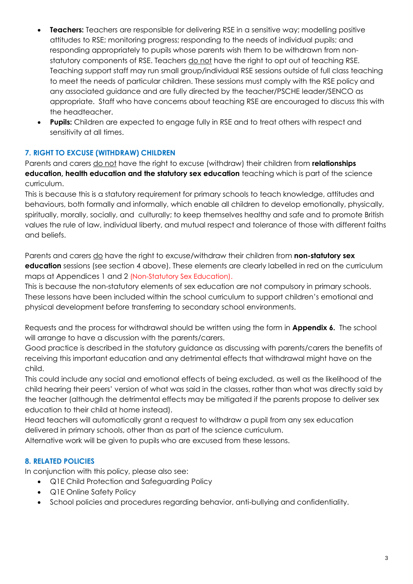- **Teachers:** Teachers are responsible for delivering RSE in a sensitive way; modelling positive attitudes to RSE; monitoring progress; responding to the needs of individual pupils; and responding appropriately to pupils whose parents wish them to be withdrawn from nonstatutory components of RSE. Teachers do not have the right to opt out of teaching RSE. Teaching support staff may run small group/individual RSE sessions outside of full class teaching to meet the needs of particular children. These sessions must comply with the RSE policy and any associated guidance and are fully directed by the teacher/PSCHE leader/SENCO as appropriate. Staff who have concerns about teaching RSE are encouraged to discuss this with the headteacher.
- **Pupils:** Children are expected to engage fully in RSE and to treat others with respect and sensitivity at all times.

#### **7. RIGHT TO EXCUSE (WITHDRAW) CHILDREN**

Parents and carers do not have the right to excuse (withdraw) their children from **relationships education, health education and the statutory sex education** teaching which is part of the science curriculum.

This is because this is a statutory requirement for primary schools to teach knowledge, attitudes and behaviours, both formally and informally, which enable all children to develop emotionally, physically, spiritually, morally, socially, and culturally; to keep themselves healthy and safe and to promote British values the rule of law, individual liberty, and mutual respect and tolerance of those with different faiths and beliefs.

Parents and carers do have the right to excuse/withdraw their children from **non-statutory sex education** sessions (see section 4 above). These elements are clearly labelled in red on the curriculum maps at Appendices 1 and 2 (Non-Statutory Sex Education).

This is because the non-statutory elements of sex education are not compulsory in primary schools. These lessons have been included within the school curriculum to support children's emotional and physical development before transferring to secondary school environments.

Requests and the process for withdrawal should be written using the form in **Appendix 6.** The school will arrange to have a discussion with the parents/carers.

Good practice is described in the statutory guidance as discussing with parents/carers the benefits of receiving this important education and any detrimental effects that withdrawal might have on the child.

This could include any social and emotional effects of being excluded, as well as the likelihood of the child hearing their peers' version of what was said in the classes, rather than what was directly said by the teacher (although the detrimental effects may be mitigated if the parents propose to deliver sex education to their child at home instead).

Head teachers will automatically grant a request to withdraw a pupil from any sex education delivered in primary schools, other than as part of the science curriculum.

Alternative work will be given to pupils who are excused from these lessons.

#### **8. RELATED POLICIES**

In conjunction with this policy, please also see:

- Q1E Child Protection and Safeguarding Policy
- Q1E Online Safety Policy
- School policies and procedures regarding behavior, anti-bullying and confidentiality.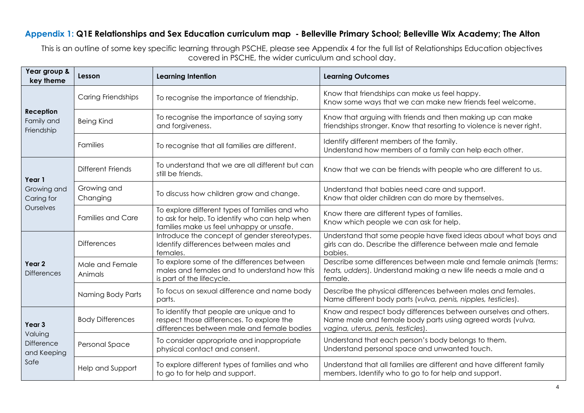#### **Appendix 1: Q1E Relationships and Sex Education curriculum map - Belleville Primary School; Belleville Wix Academy; The Alton**

This is an outline of some key specific learning through PSCHE, please see Appendix 4 for the full list of Relationships Education objectives covered in PSCHE, the wider curriculum and school day.

| Year group &<br>key theme                              | Lesson                     | <b>Learning Intention</b>                                                                                                                    | <b>Learning Outcomes</b>                                                                                                                                           |  |
|--------------------------------------------------------|----------------------------|----------------------------------------------------------------------------------------------------------------------------------------------|--------------------------------------------------------------------------------------------------------------------------------------------------------------------|--|
| <b>Reception</b><br>Family and<br>Friendship           | Caring Friendships         | To recognise the importance of friendship.                                                                                                   | Know that friendships can make us feel happy.<br>Know some ways that we can make new friends feel welcome.                                                         |  |
|                                                        | <b>Being Kind</b>          | To recognise the importance of saying sorry<br>and forgiveness.                                                                              | Know that arguing with friends and then making up can make<br>friendships stronger. Know that resorting to violence is never right.                                |  |
|                                                        | <b>Families</b>            | To recognise that all families are different.                                                                                                | Identify different members of the family.<br>Understand how members of a family can help each other.                                                               |  |
| Year 1<br>Growing and<br>Caring for<br>Ourselves       | <b>Different Friends</b>   | To understand that we are all different but can<br>still be friends.                                                                         | Know that we can be friends with people who are different to us.                                                                                                   |  |
|                                                        | Growing and<br>Changing    | To discuss how children grow and change.                                                                                                     | Understand that babies need care and support.<br>Know that older children can do more by themselves.                                                               |  |
|                                                        | <b>Families and Care</b>   | To explore different types of families and who<br>to ask for help. To identify who can help when<br>families make us feel unhappy or unsafe. | Know there are different types of families.<br>Know which people we can ask for help.                                                                              |  |
| Year <sub>2</sub><br><b>Differences</b>                | <b>Differences</b>         | Introduce the concept of gender stereotypes.<br>Identify differences between males and<br>females.                                           | Understand that some people have fixed ideas about what boys and<br>girls can do. Describe the difference between male and female<br>babies.                       |  |
|                                                        | Male and Female<br>Animals | To explore some of the differences between<br>males and females and to understand how this<br>is part of the lifecycle.                      | Describe some differences between male and female animals (terms:<br>teats, udders). Understand making a new life needs a male and a<br>female.                    |  |
|                                                        | Naming Body Parts          | To focus on sexual difference and name body<br>parts.                                                                                        | Describe the physical differences between males and females.<br>Name different body parts (vulva, penis, nipples, testicles).                                      |  |
| Year 3<br>Valuing<br>Difference<br>and Keeping<br>Safe | <b>Body Differences</b>    | To identify that people are unique and to<br>respect those differences. To explore the<br>differences between male and female bodies         | Know and respect body differences between ourselves and others.<br>Name male and female body parts using agreed words (vulva,<br>vagina, uterus, penis, testicles) |  |
|                                                        | Personal Space             | To consider appropriate and inappropriate<br>physical contact and consent.                                                                   | Understand that each person's body belongs to them.<br>Understand personal space and unwanted touch.                                                               |  |
|                                                        | Help and Support           | To explore different types of families and who<br>to go to for help and support.                                                             | Understand that all families are different and have different family<br>members. Identify who to go to for help and support.                                       |  |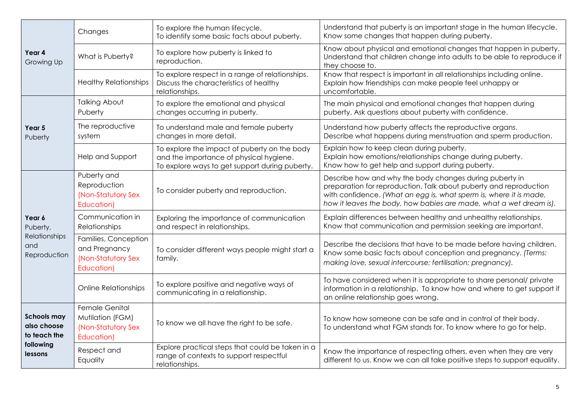|                                                                                  | Changes                                                                       | To explore the human lifecycle.<br>To identify some basic facts about puberty.                                                            | Understand that puberty is an important stage in the human lifecycle.<br>Know some changes that happen during puberty.                                                                                                                                                   |  |
|----------------------------------------------------------------------------------|-------------------------------------------------------------------------------|-------------------------------------------------------------------------------------------------------------------------------------------|--------------------------------------------------------------------------------------------------------------------------------------------------------------------------------------------------------------------------------------------------------------------------|--|
| Year 4<br>Growing Up                                                             | What is Puberty?                                                              | To explore how puberty is linked to<br>reproduction.                                                                                      | Know about physical and emotional changes that happen in puberty.<br>Understand that children change into adults to be able to reproduce if<br>they choose to.                                                                                                           |  |
|                                                                                  | <b>Healthy Relationships</b>                                                  | To explore respect in a range of relationships.<br>Discuss the characteristics of healthy<br>relationships.                               | Know that respect is important in all relationships including online.<br>Explain how friendships can make people feel unhappy or<br>uncomfortable.                                                                                                                       |  |
|                                                                                  | <b>Talking About</b><br>Puberty                                               | To explore the emotional and physical<br>changes occurring in puberty.                                                                    | The main physical and emotional changes that happen during<br>puberty. Ask questions about puberty with confidence.                                                                                                                                                      |  |
| Year 5<br>Puberty                                                                | The reproductive<br>system                                                    | To understand male and female puberty<br>changes in more detail.                                                                          | Understand how puberty affects the reproductive organs.<br>Describe what happens during menstruation and sperm production.                                                                                                                                               |  |
|                                                                                  | Help and Support                                                              | To explore the impact of puberty on the body<br>and the importance of physical hygiene.<br>To explore ways to get support during puberty. | Explain how to keep clean during puberty.<br>Explain how emotions/relationships change during puberty.<br>Know how to get help and support during puberty.                                                                                                               |  |
| Year 6<br>Puberty,<br>Relationships<br>and<br>Reproduction                       | Puberty and<br>Reproduction<br>(Non-Statutory Sex<br>Education)               | To consider puberty and reproduction.                                                                                                     | Describe how and why the body changes during puberty in<br>preparation for reproduction. Talk about puberty and reproduction<br>with confidence. (What an egg is, what sperm is, where it is made,<br>how it leaves the body, how babies are made, what a wet dream is). |  |
|                                                                                  | Communication in<br>Relationships                                             | Exploring the importance of communication<br>and respect in relationships.                                                                | Explain differences between healthy and unhealthy relationships.<br>Know that communication and permission seeking are important.                                                                                                                                        |  |
|                                                                                  | Families, Conception<br>and Pregnancy<br>(Non-Statutory Sex<br>Education)     | To consider different ways people might start a<br>family.                                                                                | Describe the decisions that have to be made before having children.<br>Know some basic facts about conception and pregnancy. (Terms:<br>making love, sexual intercourse; fertilisation; pregnancy).                                                                      |  |
|                                                                                  | <b>Online Relationships</b>                                                   | To explore positive and negative ways of<br>communicating in a relationship.                                                              | To have considered when it is appropriate to share personal/ private<br>information in a relationship. To know how and where to get support if<br>an online relationship goes wrong.                                                                                     |  |
| <b>Schools may</b><br>also choose<br>to teach the<br>following<br><b>lessons</b> | <b>Female Genital</b><br>Mutilation (FGM)<br>(Non-Statutory Sex<br>Education) | To know we all have the right to be safe.                                                                                                 | To know how someone can be safe and in control of their body.<br>To understand what FGM stands for. To know where to go for help.                                                                                                                                        |  |
|                                                                                  | Respect and<br>Equality                                                       | Explore practical steps that could be taken in a<br>range of contexts to support respectful<br>relationships.                             | Know the importance of respecting others, even when they are very<br>different to us. Know we can all take positive steps to support equality.                                                                                                                           |  |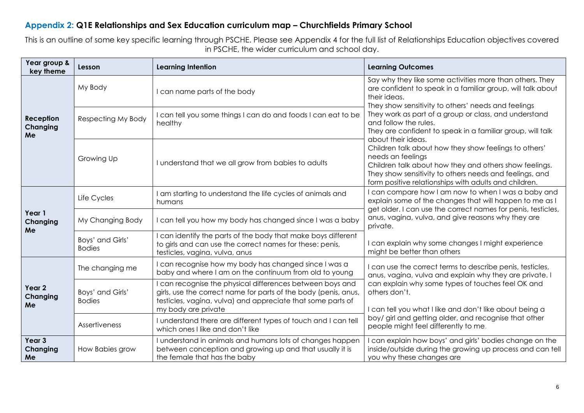### **Appendix 2: Q1E Relationships and Sex Education curriculum map – Churchfields Primary School**

This is an outline of some key specific learning through PSCHE. Please see Appendix 4 for the full list of Relationships Education objectives covered in PSCHE, the wider curriculum and school day.

| Year group &<br>key theme                  | Lesson                            | <b>Learning Intention</b>                                                                                                                                                                                        | <b>Learning Outcomes</b>                                                                                                                                                                                                                                                                                                                                                                                                                                                                                                                                                                                                         |  |
|--------------------------------------------|-----------------------------------|------------------------------------------------------------------------------------------------------------------------------------------------------------------------------------------------------------------|----------------------------------------------------------------------------------------------------------------------------------------------------------------------------------------------------------------------------------------------------------------------------------------------------------------------------------------------------------------------------------------------------------------------------------------------------------------------------------------------------------------------------------------------------------------------------------------------------------------------------------|--|
| <b>Reception</b><br>Changing<br>Me         | My Body                           | can name parts of the body                                                                                                                                                                                       | Say why they like some activities more than others. They<br>are confident to speak in a familiar group, will talk about<br>their ideas.<br>They show sensitivity to others' needs and feelings<br>They work as part of a group or class, and understand<br>and follow the rules.<br>They are confident to speak in a familiar group, will talk<br>about their ideas.<br>Children talk about how they show feelings to others'<br>needs an feelings<br>Children talk about how they and others show feelings.<br>They show sensitivity to others needs and feelings, and<br>form positive relationships with adults and children. |  |
|                                            | Respecting My Body                | can tell you some things I can do and foods I can eat to be<br>healthy                                                                                                                                           |                                                                                                                                                                                                                                                                                                                                                                                                                                                                                                                                                                                                                                  |  |
|                                            | Growing Up                        | I understand that we all grow from babies to adults                                                                                                                                                              |                                                                                                                                                                                                                                                                                                                                                                                                                                                                                                                                                                                                                                  |  |
| Year 1<br>Changing<br>Me                   | Life Cycles                       | am starting to understand the life cycles of animals and<br>humans                                                                                                                                               | can compare how I am now to when I was a baby and<br>explain some of the changes that will happen to me as I<br>get older. I can use the correct names for penis, testicles,                                                                                                                                                                                                                                                                                                                                                                                                                                                     |  |
|                                            | My Changing Body                  | I can tell you how my body has changed since I was a baby                                                                                                                                                        | anus, vagina, vulva, and give reasons why they are<br>private.                                                                                                                                                                                                                                                                                                                                                                                                                                                                                                                                                                   |  |
|                                            | Boys' and Girls'<br><b>Bodies</b> | can identify the parts of the body that make boys different<br>to girls and can use the correct names for these: penis,<br>testicles, vagina, vulva, anus                                                        | I can explain why some changes I might experience<br>might be better than others                                                                                                                                                                                                                                                                                                                                                                                                                                                                                                                                                 |  |
| Year <sub>2</sub><br><b>Changing</b><br>Me | The changing me                   | I can recognise how my body has changed since I was a<br>baby and where I am on the continuum from old to young                                                                                                  | I can use the correct terms to describe penis, testicles,<br>anus, vagina, vulva and explain why they are private. I<br>can explain why some types of touches feel OK and<br>others don't.<br>I can tell you what I like and don't like about being a                                                                                                                                                                                                                                                                                                                                                                            |  |
|                                            | Boys' and Girls'<br><b>Bodies</b> | can recognise the physical differences between boys and<br>girls, use the correct name for parts of the body (penis, anus,<br>testicles, vagina, vulva) and appreciate that some parts of<br>my body are private |                                                                                                                                                                                                                                                                                                                                                                                                                                                                                                                                                                                                                                  |  |
|                                            | Assertiveness                     | I understand there are different types of touch and I can tell<br>which ones I like and don't like                                                                                                               | boy/ girl and getting older, and recognise that other<br>people might feel differently to me.                                                                                                                                                                                                                                                                                                                                                                                                                                                                                                                                    |  |
| Year <sub>3</sub><br>Changing<br>Me        | How Babies grow                   | I understand in animals and humans lots of changes happen<br>between conception and growing up and that usually it is<br>the female that has the baby                                                            | can explain how boys' and girls' bodies change on the<br>inside/outside during the growing up process and can tell<br>you why these changes are                                                                                                                                                                                                                                                                                                                                                                                                                                                                                  |  |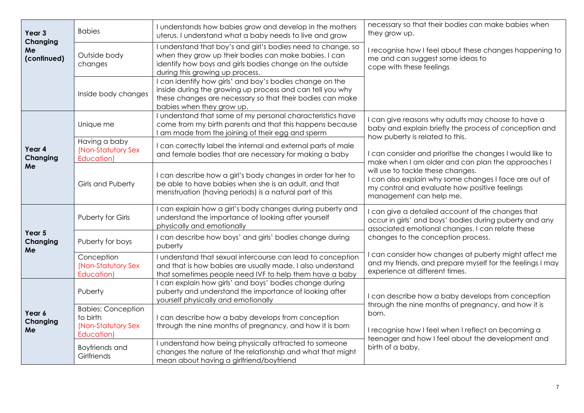| Year <sub>3</sub>             | <b>Babies</b>                                                             | I understands how babies grow and develop in the mothers<br>uterus. I understand what a baby needs to live and grow                                                                                                  | necessary so that their bodies can make babies when<br>they grow up.<br>I recognise how I feel about these changes happening to<br>me and can suggest some ideas to<br>cope with these feelings.                                                                                                                                                                                                                                             |  |
|-------------------------------|---------------------------------------------------------------------------|----------------------------------------------------------------------------------------------------------------------------------------------------------------------------------------------------------------------|----------------------------------------------------------------------------------------------------------------------------------------------------------------------------------------------------------------------------------------------------------------------------------------------------------------------------------------------------------------------------------------------------------------------------------------------|--|
| Changing<br>Me<br>(continued) | Outside body<br>changes                                                   | I understand that boy's and girl's bodies need to change, so<br>when they grow up their bodies can make babies. I can<br>identify how boys and girls bodies change on the outside<br>during this growing up process. |                                                                                                                                                                                                                                                                                                                                                                                                                                              |  |
|                               | Inside body changes                                                       | I can identify how girls' and boy's bodies change on the<br>inside during the growing up process and can tell you why<br>these changes are necessary so that their bodies can make<br>babies when they grow up.      |                                                                                                                                                                                                                                                                                                                                                                                                                                              |  |
|                               | Unique me                                                                 | I understand that some of my personal characteristics have<br>come from my birth parents and that this happens because<br>am made from the joining of their egg and sperm                                            | I can give reasons why adults may choose to have a<br>baby and explain briefly the process of conception and<br>how puberty is related to this.<br>I can consider and prioritise the changes I would like to<br>make when I am older and can plan the approaches I<br>will use to tackle these changes.<br>I can also explain why some changes I face are out of<br>my control and evaluate how positive feelings<br>management can help me. |  |
| Year 4<br>Changing            | Having a baby<br>(Non-Statutory Sex<br>Education)                         | I can correctly label the internal and external parts of male<br>and female bodies that are necessary for making a baby                                                                                              |                                                                                                                                                                                                                                                                                                                                                                                                                                              |  |
| Me                            | Girls and Puberty                                                         | I can describe how a girl's body changes in order for her to<br>be able to have babies when she is an adult, and that<br>menstruation (having periods) is a natural part of this                                     |                                                                                                                                                                                                                                                                                                                                                                                                                                              |  |
| Year 5<br>Changing<br>Me      | Puberty for Girls                                                         | I can explain how a girl's body changes during puberty and<br>understand the importance of looking after yourself<br>physically and emotionally                                                                      | I can give a detailed account of the changes that<br>occur in girls' and boys' bodies during puberty and any<br>associated emotional changes. I can relate these                                                                                                                                                                                                                                                                             |  |
|                               | Puberty for boys                                                          | I can describe how boys' and girls' bodies change during<br>puberty                                                                                                                                                  | changes to the conception process.                                                                                                                                                                                                                                                                                                                                                                                                           |  |
|                               | Conception<br>(Non-Statutory Sex<br>Education)                            | I understand that sexual intercourse can lead to conception<br>and that is how babies are usually made. I also understand<br>that sometimes people need IVF to help them have a baby                                 | I can consider how changes at puberty might affect me<br>and my friends, and prepare myself for the feelings I may<br>experience at different times.                                                                                                                                                                                                                                                                                         |  |
| Year 6<br>Changing<br>Me      | Puberty                                                                   | I can explain how girls' and boys' bodies change during<br>puberty and understand the importance of looking after<br>yourself physically and emotionally                                                             | I can describe how a baby develops from conception<br>through the nine months of pregnancy, and how it is<br>born.<br>I recognise how I feel when I reflect on becoming a<br>teenager and how I feel about the development and<br>birth of a baby.                                                                                                                                                                                           |  |
|                               | <b>Babies: Conception</b><br>to birth<br>(Non-Statutory Sex<br>Education) | I can describe how a baby develops from conception<br>through the nine months of pregnancy, and how it is born                                                                                                       |                                                                                                                                                                                                                                                                                                                                                                                                                                              |  |
|                               | Boyfriends and<br>Girlfriends                                             | I understand how being physically attracted to someone<br>changes the nature of the relationship and what that might<br>mean about having a girlfriend/boyfriend                                                     |                                                                                                                                                                                                                                                                                                                                                                                                                                              |  |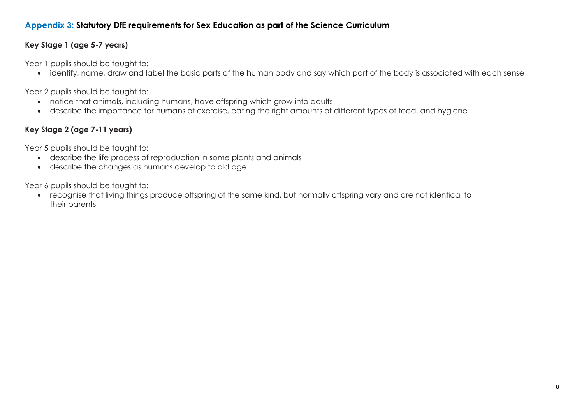### **Appendix 3: Statutory DfE requirements for Sex Education as part of the Science Curriculum**

### **Key Stage 1 (age 5-7 years)**

Year 1 pupils should be taught to:

identify, name, draw and label the basic parts of the human body and say which part of the body is associated with each sense

Year 2 pupils should be taught to:

- notice that animals, including humans, have offspring which grow into adults
- describe the importance for humans of exercise, eating the right amounts of different types of food, and hygiene

# **Key Stage 2 (age 7-11 years)**

Year 5 pupils should be taught to:

- describe the life process of reproduction in some plants and animals
- describe the changes as humans develop to old age

Year 6 pupils should be taught to:

 recognise that living things produce offspring of the same kind, but normally offspring vary and are not identical to their parents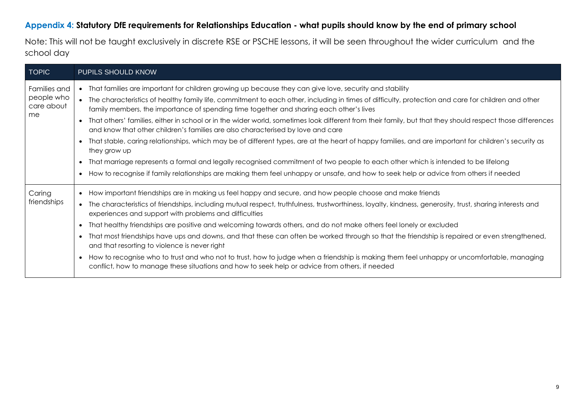### **Appendix 4: Statutory DfE requirements for Relationships Education - what pupils should know by the end of primary school**

Note: This will not be taught exclusively in discrete RSE or PSCHE lessons, it will be seen throughout the wider curriculum and the school day

| <b>TOPIC</b>                                   | PUPILS SHOULD KNOW                                                                                                                                                                                                                                                                                                                                                                                                                                                                                                                                                                                                                                                                                                                                                                                                                                                                                                                                                                                                                                                     |
|------------------------------------------------|------------------------------------------------------------------------------------------------------------------------------------------------------------------------------------------------------------------------------------------------------------------------------------------------------------------------------------------------------------------------------------------------------------------------------------------------------------------------------------------------------------------------------------------------------------------------------------------------------------------------------------------------------------------------------------------------------------------------------------------------------------------------------------------------------------------------------------------------------------------------------------------------------------------------------------------------------------------------------------------------------------------------------------------------------------------------|
| Families and<br>people who<br>care about<br>me | • That families are important for children growing up because they can give love, security and stability<br>• The characteristics of healthy family life, commitment to each other, including in times of difficulty, protection and care for children and other<br>family members, the importance of spending time together and sharing each other's lives<br>• That others' families, either in school or in the wider world, sometimes look different from their family, but that they should respect those differences<br>and know that other children's families are also characterised by love and care<br>That stable, caring relationships, which may be of different types, are at the heart of happy families, and are important for children's security as<br>they grow up<br>• That marriage represents a formal and legally recognised commitment of two people to each other which is intended to be lifelong<br>• How to recognise if family relationships are making them feel unhappy or unsafe, and how to seek help or advice from others if needed |
| Caring<br>friendships                          | • How important friendships are in making us feel happy and secure, and how people choose and make friends<br>• The characteristics of friendships, including mutual respect, truthfulness, trustworthiness, loyalty, kindness, generosity, trust, sharing interests and<br>experiences and support with problems and difficulties<br>That healthy friendships are positive and welcoming towards others, and do not make others feel lonely or excluded<br>That most friendships have ups and downs, and that these can often be worked through so that the friendship is repaired or even strengthened,<br>$\bullet$<br>and that resorting to violence is never right<br>How to recognise who to trust and who not to trust, how to judge when a friendship is making them feel unhappy or uncomfortable, managing<br>conflict, how to manage these situations and how to seek help or advice from others, if needed                                                                                                                                                 |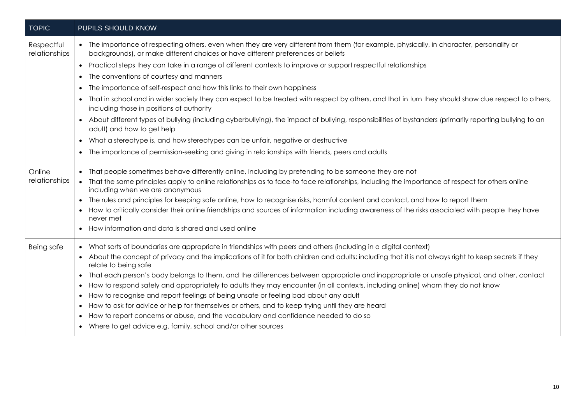| <b>TOPIC</b>                | PUPILS SHOULD KNOW                                                                                                                                                                                                            |  |  |
|-----------------------------|-------------------------------------------------------------------------------------------------------------------------------------------------------------------------------------------------------------------------------|--|--|
| Respectful<br>relationships | • The importance of respecting others, even when they are very different from them (for example, physically, in character, personality or<br>backgrounds), or make different choices or have different preferences or beliefs |  |  |
|                             | • Practical steps they can take in a range of different contexts to improve or support respectful relationships                                                                                                               |  |  |
|                             | • The conventions of courtesy and manners                                                                                                                                                                                     |  |  |
|                             | The importance of self-respect and how this links to their own happiness<br>$\bullet$                                                                                                                                         |  |  |
|                             | • That in school and in wider society they can expect to be treated with respect by others, and that in turn they should show due respect to others,<br>including those in positions of authority                             |  |  |
|                             | • About different types of bullying (including cyberbullying), the impact of bullying, responsibilities of bystanders (primarily reporting bullying to an<br>adult) and how to get help                                       |  |  |
|                             | • What a stereotype is, and how stereotypes can be unfair, negative or destructive                                                                                                                                            |  |  |
|                             | • The importance of permission-seeking and giving in relationships with friends, peers and adults                                                                                                                             |  |  |
| Online                      | • That people sometimes behave differently online, including by pretending to be someone they are not                                                                                                                         |  |  |
| relationships               | • That the same principles apply to online relationships as to face-to face relationships, including the importance of respect for others online<br>including when we are anonymous                                           |  |  |
|                             | • The rules and principles for keeping safe online, how to recognise risks, harmful content and contact, and how to report them                                                                                               |  |  |
|                             | How to critically consider their online friendships and sources of information including awareness of the risks associated with people they have<br>never met                                                                 |  |  |
|                             | • How information and data is shared and used online                                                                                                                                                                          |  |  |
| Being safe                  | • What sorts of boundaries are appropriate in friendships with peers and others (including in a digital context)                                                                                                              |  |  |
|                             | • About the concept of privacy and the implications of it for both children and adults; including that it is not always right to keep secrets if they<br>relate to being safe                                                 |  |  |
|                             | • That each person's body belongs to them, and the differences between appropriate and inappropriate or unsafe physical, and other, contact                                                                                   |  |  |
|                             | How to respond safely and appropriately to adults they may encounter (in all contexts, including online) whom they do not know                                                                                                |  |  |
|                             | How to recognise and report feelings of being unsafe or feeling bad about any adult<br>$\bullet$                                                                                                                              |  |  |
|                             | How to ask for advice or help for themselves or others, and to keep trying until they are heard<br>$\bullet$                                                                                                                  |  |  |
|                             | How to report concerns or abuse, and the vocabulary and confidence needed to do so<br>$\bullet$                                                                                                                               |  |  |
|                             | • Where to get advice e.g. family, school and/or other sources                                                                                                                                                                |  |  |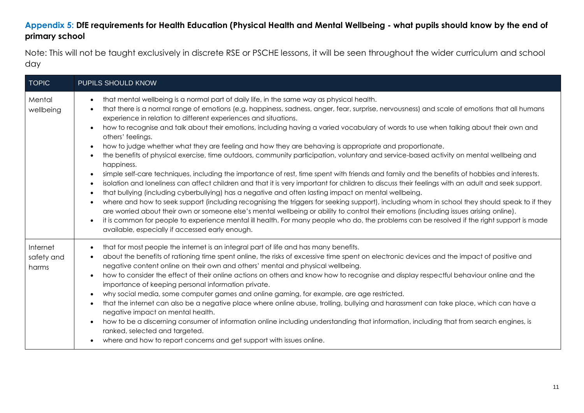# **Appendix 5: DfE requirements for Health Education (Physical Health and Mental Wellbeing - what pupils should know by the end of primary school**

Note: This will not be taught exclusively in discrete RSE or PSCHE lessons, it will be seen throughout the wider curriculum and school day

| <b>TOPIC</b>                    | PUPILS SHOULD KNOW                                                                                                                                                                                                                                                                                                                                                                                                                                                                                                                                                                                                                                                                                                                                                                                                                                                                                                                                                                                                                                                                                                                                                                                                                                                                                                                                                                                                                                                                                                                                                                                                                                                                                                                                                          |
|---------------------------------|-----------------------------------------------------------------------------------------------------------------------------------------------------------------------------------------------------------------------------------------------------------------------------------------------------------------------------------------------------------------------------------------------------------------------------------------------------------------------------------------------------------------------------------------------------------------------------------------------------------------------------------------------------------------------------------------------------------------------------------------------------------------------------------------------------------------------------------------------------------------------------------------------------------------------------------------------------------------------------------------------------------------------------------------------------------------------------------------------------------------------------------------------------------------------------------------------------------------------------------------------------------------------------------------------------------------------------------------------------------------------------------------------------------------------------------------------------------------------------------------------------------------------------------------------------------------------------------------------------------------------------------------------------------------------------------------------------------------------------------------------------------------------------|
| Mental<br>wellbeing             | that mental wellbeing is a normal part of daily life, in the same way as physical health.<br>$\bullet$<br>that there is a normal range of emotions (e.g. happiness, sadness, anger, fear, surprise, nervousness) and scale of emotions that all humans<br>$\bullet$<br>experience in relation to different experiences and situations.<br>how to recognise and talk about their emotions, including having a varied vocabulary of words to use when talking about their own and<br>$\bullet$<br>others' feelings.<br>how to judge whether what they are feeling and how they are behaving is appropriate and proportionate.<br>$\bullet$<br>the benefits of physical exercise, time outdoors, community participation, voluntary and service-based activity on mental wellbeing and<br>$\bullet$<br>happiness.<br>simple self-care techniques, including the importance of rest, time spent with friends and family and the benefits of hobbies and interests.<br>$\bullet$<br>isolation and loneliness can affect children and that it is very important for children to discuss their feelings with an adult and seek support.<br>$\bullet$<br>that bullying (including cyberbullying) has a negative and often lasting impact on mental wellbeing.<br>$\bullet$<br>where and how to seek support (including recognising the triggers for seeking support), including whom in school they should speak to if they<br>$\bullet$<br>are worried about their own or someone else's mental wellbeing or ability to control their emotions (including issues arising online).<br>it is common for people to experience mental ill health. For many people who do, the problems can be resolved if the right support is made<br>available, especially if accessed early enough. |
| Internet<br>safety and<br>harms | that for most people the internet is an integral part of life and has many benefits.<br>$\bullet$<br>about the benefits of rationing time spent online, the risks of excessive time spent on electronic devices and the impact of positive and<br>$\bullet$<br>negative content online on their own and others' mental and physical wellbeing.<br>how to consider the effect of their online actions on others and know how to recognise and display respectful behaviour online and the<br>importance of keeping personal information private.<br>why social media, some computer games and online gaming, for example, are age restricted.<br>$\bullet$<br>that the internet can also be a negative place where online abuse, trolling, bullying and harassment can take place, which can have a<br>$\bullet$<br>negative impact on mental health.<br>how to be a discerning consumer of information online including understanding that information, including that from search engines, is<br>$\bullet$<br>ranked, selected and targeted.<br>where and how to report concerns and get support with issues online.<br>$\bullet$                                                                                                                                                                                                                                                                                                                                                                                                                                                                                                                                                                                                                                          |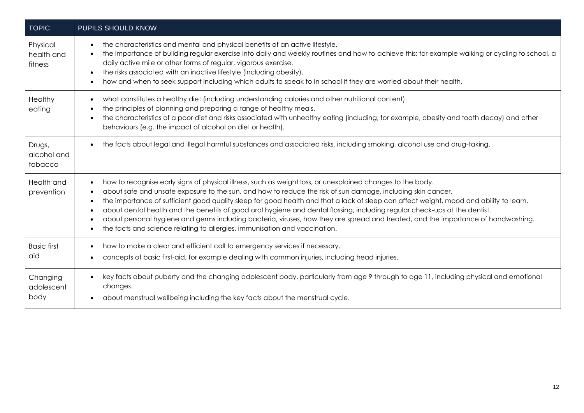| <b>TOPIC</b>                      | PUPILS SHOULD KNOW                                                                                                                                                                                                                                                                                                                                                                                                                                                                                                                                                                                                                                                                                                                                                                    |
|-----------------------------------|---------------------------------------------------------------------------------------------------------------------------------------------------------------------------------------------------------------------------------------------------------------------------------------------------------------------------------------------------------------------------------------------------------------------------------------------------------------------------------------------------------------------------------------------------------------------------------------------------------------------------------------------------------------------------------------------------------------------------------------------------------------------------------------|
| Physical<br>health and<br>fitness | the characteristics and mental and physical benefits of an active lifestyle.<br>$\bullet$<br>the importance of building regular exercise into daily and weekly routines and how to achieve this; for example walking or cycling to school, a<br>$\bullet$<br>daily active mile or other forms of regular, vigorous exercise.<br>the risks associated with an inactive lifestyle (including obesity).<br>$\bullet$<br>how and when to seek support including which adults to speak to in school if they are worried about their health.                                                                                                                                                                                                                                                |
| Healthy<br>eating                 | what constitutes a healthy diet (including understanding calories and other nutritional content).<br>$\bullet$<br>the principles of planning and preparing a range of healthy meals.<br>the characteristics of a poor diet and risks associated with unhealthy eating (including, for example, obesity and tooth decay) and other<br>behaviours (e.g. the impact of alcohol on diet or health).                                                                                                                                                                                                                                                                                                                                                                                       |
| Drugs,<br>alcohol and<br>tobacco  | the facts about legal and illegal harmful substances and associated risks, including smoking, alcohol use and drug-taking.<br>$\bullet$                                                                                                                                                                                                                                                                                                                                                                                                                                                                                                                                                                                                                                               |
| Health and<br>prevention          | how to recognise early signs of physical illness, such as weight loss, or unexplained changes to the body.<br>$\bullet$<br>about safe and unsafe exposure to the sun, and how to reduce the risk of sun damage, including skin cancer.<br>$\bullet$<br>the importance of sufficient good quality sleep for good health and that a lack of sleep can affect weight, mood and ability to learn.<br>$\bullet$<br>about dental health and the benefits of good oral hygiene and dental flossing, including regular check-ups at the dentist.<br>$\bullet$<br>about personal hygiene and germs including bacteria, viruses, how they are spread and treated, and the importance of handwashing.<br>$\bullet$<br>the facts and science relating to allergies, immunisation and vaccination. |
| <b>Basic first</b><br>aid         | how to make a clear and efficient call to emergency services if necessary.<br>$\bullet$<br>concepts of basic first-aid, for example dealing with common injuries, including head injuries.                                                                                                                                                                                                                                                                                                                                                                                                                                                                                                                                                                                            |
| Changing<br>adolescent<br>body    | key facts about puberty and the changing adolescent body, particularly from age 9 through to age 11, including physical and emotional<br>$\bullet$<br>changes.<br>about menstrual wellbeing including the key facts about the menstrual cycle.                                                                                                                                                                                                                                                                                                                                                                                                                                                                                                                                        |